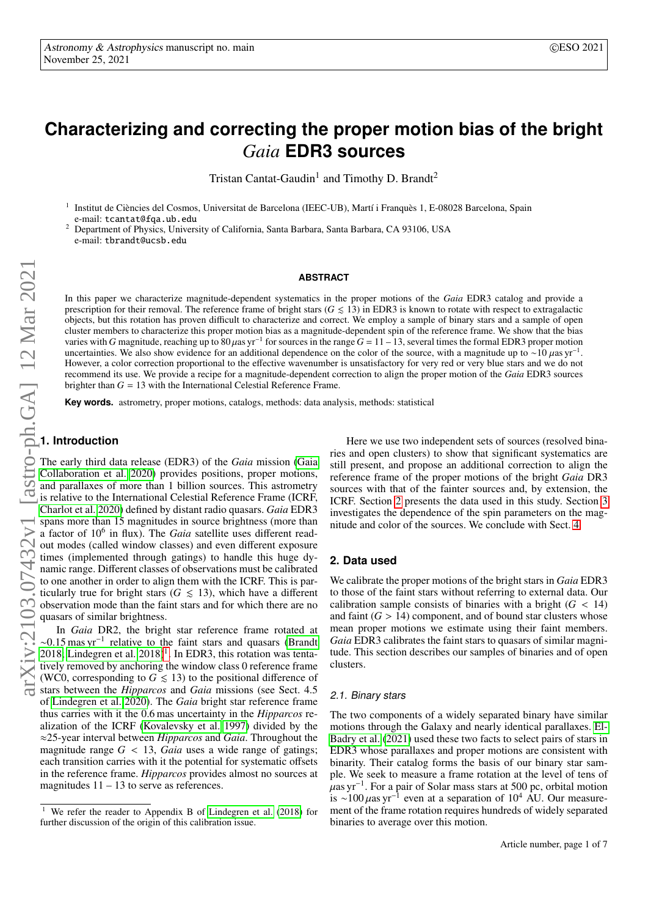# **Characterizing and correcting the proper motion bias of the bright** *Gaia* **EDR3 sources**

Tristan Cantat-Gaudin<sup>1</sup> and Timothy D. Brandt<sup>2</sup>

1 Institut de Ciències del Cosmos, Universitat de Barcelona (IEEC-UB), Martí i Franquès 1, E-08028 Barcelona, Spain e-mail: tcantat@fqa.ub.edu

<sup>2</sup> Department of Physics, University of California, Santa Barbara, Santa Barbara, CA 93106, USA e-mail: tbrandt@ucsb.edu

#### **ABSTRACT**

In this paper we characterize magnitude-dependent systematics in the proper motions of the *Gaia* EDR3 catalog and provide a prescription for their removal. The reference frame of bright stars  $(G \le 13)$  in EDR3 is known to rotate with respect to extragalactic objects, but this rotation has proven difficult to characterize and correct. We employ a sample of binary stars and a sample of open cluster members to characterize this proper motion bias as a magnitude-dependent spin of the reference frame. We show that the bias varies with *G* magnitude, reaching up to  $80 \mu$ as yr<sup>-1</sup> varies with G magnitude, reaching up to 80  $\mu$ as yr<sup>-1</sup> for sources in the range  $G = 11 - 13$ , several times the formal EDR3 proper motion uncertainties. We also show evidence for an additional dependence on the color of the source, with a magnitude up to ~10  $\mu$ as yr<sup>-1</sup>. However, a color correction proportional to the effective wavenumber is unsatisfactory for very red or very blue stars and we do not recommend its use. We provide a recipe for a magnitude-dependent correction to align the proper motion of the *Gaia* EDR3 sources brighter than  $G = 13$  with the International Celestial Reference Frame.

**Key words.** astrometry, proper motions, catalogs, methods: data analysis, methods: statistical

# **1. Introduction**

The early third data release (EDR3) of the *Gaia* mission [\(Gaia](#page-5-0) [Collaboration et al. 2020\)](#page-5-0) provides positions, proper motions, and parallaxes of more than 1 billion sources. This astrometry is relative to the International Celestial Reference Frame (ICRF, [Charlot et al. 2020\)](#page-5-1) defined by distant radio quasars. *Gaia* EDR3 spans more than 15 magnitudes in source brightness (more than a factor of 10<sup>6</sup> in flux). The *Gaia* satellite uses different readout modes (called window classes) and even different exposure times (implemented through gatings) to handle this huge dynamic range. Different classes of observations must be calibrated to one another in order to align them with the ICRF. This is particularly true for bright stars ( $G \le 13$ ), which have a different observation mode than the faint stars and for which there are no quasars of similar brightness.

In *Gaia* DR2, the bright star reference frame rotated at  $\sim$ 0.15 mas yr<sup>-1</sup> relative to the faint stars and quasars [\(Brandt](#page-5-2) [2018;](#page-5-2) Lindegren et al.  $2018$  $2018$  $2018$ <sup>1</sup>. In EDR3, this rotation was tentatively removed by anchoring the window class 0 reference frame (WC0, corresponding to  $G \le 13$ ) to the positional difference of stars between the *Hipparcos* and *Gaia* missions (see Sect. 4.5 of [Lindegren et al. 2020\)](#page-5-4). The *Gaia* bright star reference frame thus carries with it the 0.6 mas uncertainty in the *Hipparcos* realization of the ICRF [\(Kovalevsky et al. 1997\)](#page-5-5) divided by the ≈25-year interval between *Hipparcos* and *Gaia*. Throughout the magnitude range  $G < 13$ , *Gaia* uses a wide range of gatings; each transition carries with it the potential for systematic offsets in the reference frame. *Hipparcos* provides almost no sources at magnitudes  $11 - 13$  to serve as references.

Here we use two independent sets of sources (resolved binaries and open clusters) to show that significant systematics are still present, and propose an additional correction to align the reference frame of the proper motions of the bright *Gaia* DR3 sources with that of the fainter sources and, by extension, the ICRF. Section [2](#page-0-1) presents the data used in this study. Section [3](#page-1-0) investigates the dependence of the spin parameters on the magnitude and color of the sources. We conclude with Sect. [4.](#page-4-0)

#### <span id="page-0-1"></span>**2. Data used**

We calibrate the proper motions of the bright stars in *Gaia* EDR3 to those of the faint stars without referring to external data. Our calibration sample consists of binaries with a bright  $(G < 14)$ and faint  $(G > 14)$  component, and of bound star clusters whose mean proper motions we estimate using their faint members. *Gaia* EDR3 calibrates the faint stars to quasars of similar magnitude. This section describes our samples of binaries and of open clusters.

#### 2.1. Binary stars

The two components of a widely separated binary have similar motions through the Galaxy and nearly identical parallaxes. [El-](#page-5-6)[Badry et al.](#page-5-6) [\(2021\)](#page-5-6) used these two facts to select pairs of stars in EDR3 whose parallaxes and proper motions are consistent with binarity. Their catalog forms the basis of our binary star sample. We seek to measure a frame rotation at the level of tens of µas yr−<sup>1</sup> . For a pair of Solar mass stars at 500 pc, orbital motion is ~100  $\mu$ as yr<sup>-1</sup> even at a separation of 10<sup>4</sup> AU. Our measurement of the frame rotation requires hundreds of widely separated binaries to average over this motion.

<span id="page-0-0"></span><sup>1</sup> We refer the reader to Appendix B of [Lindegren et al.](#page-5-3) [\(2018\)](#page-5-3) for further discussion of the origin of this calibration issue.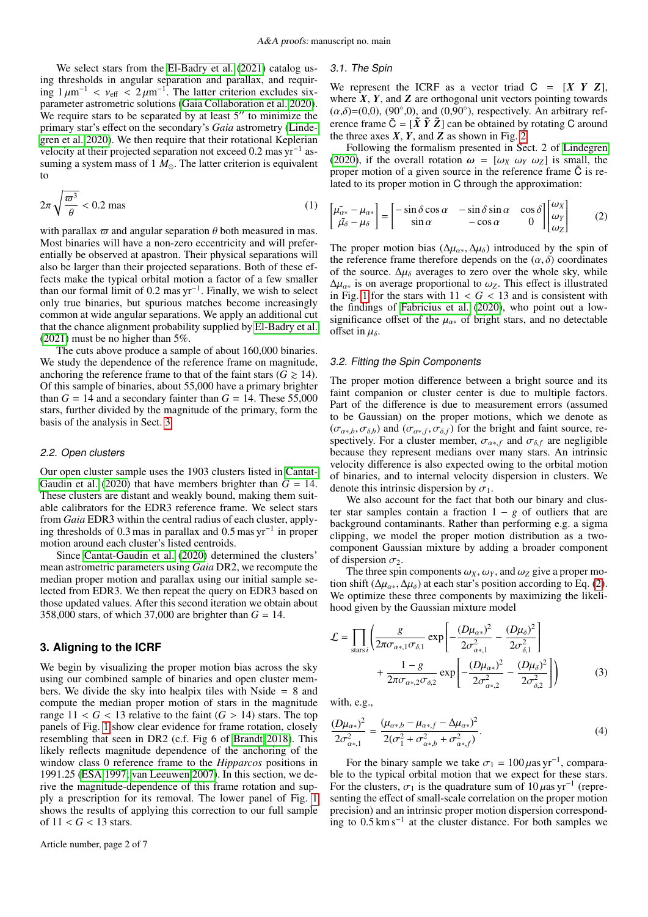We select stars from the [El-Badry et al.](#page-5-6) [\(2021\)](#page-5-6) catalog using thresholds in angular separation and parallax, and requiring  $1 \mu m^{-1} < v_{\text{eff}} < 2 \mu m^{-1}$ . The latter criterion excludes sixparameter astrometric solutions [\(Gaia Collaboration et al. 2020\)](#page-5-0). We require stars to be separated by at least  $5$ <sup> $\prime\prime$ </sup> to minimize the primary star's effect on the secondary's *Gaia* astrometry [\(Linde](#page-5-4)[gren et al. 2020\)](#page-5-4). We then require that their rotational Keplerian velocity at their projected separation not exceed 0.2 mas yr<sup>-1</sup> assuming a system mass of  $1 M_{\odot}$ . The latter criterion is equivalent to

$$
2\pi\sqrt{\frac{\varpi^3}{\theta}} < 0.2 \text{ mas} \tag{1}
$$

with parallax  $\omega$  and angular separation  $\theta$  both measured in mas. Most binaries will have a non-zero eccentricity and will preferentially be observed at apastron. Their physical separations will also be larger than their projected separations. Both of these effects make the typical orbital motion a factor of a few smaller than our formal limit of 0.2 mas yr<sup>-1</sup>. Finally, we wish to select only true binaries, but spurious matches become increasingly common at wide angular separations. We apply an additional cut that the chance alignment probability supplied by [El-Badry et al.](#page-5-6) [\(2021\)](#page-5-6) must be no higher than 5%.

The cuts above produce a sample of about 160,000 binaries. We study the dependence of the reference frame on magnitude, anchoring the reference frame to that of the faint stars ( $G \ge 14$ ). Of this sample of binaries, about 55,000 have a primary brighter than  $G = 14$  and a secondary fainter than  $G = 14$ . These 55,000 stars, further divided by the magnitude of the primary, form the basis of the analysis in Sect. [3.](#page-1-0)

#### 2.2. Open clusters

Our open cluster sample uses the 1903 clusters listed in [Cantat-](#page-5-7)[Gaudin et al.](#page-5-7) [\(2020\)](#page-5-7) that have members brighter than  $G = 14$ . These clusters are distant and weakly bound, making them suitable calibrators for the EDR3 reference frame. We select stars from *Gaia* EDR3 within the central radius of each cluster, applying thresholds of 0.3 mas in parallax and 0.5 mas yr−<sup>1</sup> in proper motion around each cluster's listed centroids.

Since [Cantat-Gaudin et al.](#page-5-7) [\(2020\)](#page-5-7) determined the clusters' mean astrometric parameters using *Gaia* DR2, we recompute the median proper motion and parallax using our initial sample selected from EDR3. We then repeat the query on EDR3 based on those updated values. After this second iteration we obtain about 358,000 stars, of which 37,000 are brighter than *G* = 14.

# <span id="page-1-0"></span>**3. Aligning to the ICRF**

We begin by visualizing the proper motion bias across the sky using our combined sample of binaries and open cluster members. We divide the sky into healpix tiles with Nside = 8 and compute the median proper motion of stars in the magnitude range  $11 < G < 13$  relative to the faint  $(G > 14)$  stars. The top panels of Fig. [1](#page-2-0) show clear evidence for frame rotation, closely resembling that seen in DR2 (c.f. Fig 6 of [Brandt 2018\)](#page-5-2). This likely reflects magnitude dependence of the anchoring of the window class 0 reference frame to the *Hipparcos* positions in 1991.25 [\(ESA 1997;](#page-5-8) [van Leeuwen 2007\)](#page-5-9). In this section, we derive the magnitude-dependence of this frame rotation and supply a prescription for its removal. The lower panel of Fig. [1](#page-2-0) shows the results of applying this correction to our full sample of  $11 < G < 13$  stars.

# 3.1. The Spin

We represent the ICRF as a vector triad  $C = [X \ Y \ Z]$ , where  $X$ ,  $Y$ , and  $Z$  are orthogonal unit vectors pointing towards  $(\alpha,\delta)=(0,0)$ ,  $(90^{\circ},0)$ , and  $(0,90^{\circ})$ , respectively. An arbitrary reference frame  $\tilde{C} = [\tilde{X} \tilde{Y} \tilde{Z}]$  can be obtained by rotating C around the three axes  $X$ ,  $Y$ , and  $Z$  as shown in Fig. [2.](#page-2-1)

<span id="page-1-1"></span>Following the formalism presented in Sect. 2 of [Lindegren](#page-5-10) [\(2020\)](#page-5-10), if the overall rotation  $\omega = [\omega_X \omega_Y \omega_Z]$  is small, the proper motion of a given source in the reference frame  $\tilde{C}$  is related to its proper motion in C through the approximation:

$$
\begin{bmatrix} \tilde{\mu_{\alpha*}} - \mu_{\alpha*} \\ \tilde{\mu_{\delta}} - \mu_{\delta} \end{bmatrix} = \begin{bmatrix} -\sin \delta \cos \alpha & -\sin \delta \sin \alpha & \cos \delta \\ \sin \alpha & -\cos \alpha & 0 \end{bmatrix} \begin{bmatrix} \omega_X \\ \omega_Y \\ \omega_Z \end{bmatrix}
$$
 (2)

The proper motion bias ( $\Delta \mu_{\alpha*}, \Delta \mu_{\delta}$ ) introduced by the spin of the reference frame therefore depends on the  $(\alpha, \delta)$  coordinates of the source.  $\Delta \mu_{\delta}$  averages to zero over the whole sky, while  $\Delta\mu_{\alpha*}$  is on average proportional to  $\omega_z$ . This effect is illustrated in Fig. [1](#page-2-0) for the stars with  $11 < G < 13$  and is consistent with the findings of [Fabricius et al.](#page-5-11) [\(2020\)](#page-5-11), who point out a lowsignificance offset of the  $\mu_{\alpha*}$  of bright stars, and no detectable offset in  $\mu_{\delta}$ .

#### <span id="page-1-3"></span>3.2. Fitting the Spin Components

The proper motion difference between a bright source and its faint companion or cluster center is due to multiple factors. Part of the difference is due to measurement errors (assumed to be Gaussian) on the proper motions, which we denote as  $(\sigma_{\alpha*,b}, \sigma_{\delta,b})$  and  $(\sigma_{\alpha*,f}, \sigma_{\delta,f})$  for the bright and faint source, respectively. For a cluster member,  $\sigma_{\alpha*,f}$  and  $\sigma_{\delta,f}$  are negligible because they represent medians over many stars. An intrinsic velocity difference is also expected owing to the orbital motion of binaries, and to internal velocity dispersion in clusters. We denote this intrinsic dispersion by  $\sigma_1$ .

We also account for the fact that both our binary and cluster star samples contain a fraction  $1 - g$  of outliers that are background contaminants. Rather than performing e.g. a sigma clipping, we model the proper motion distribution as a twocomponent Gaussian mixture by adding a broader component of dispersion  $\sigma_2$ .

The three spin components  $\omega_X$ ,  $\omega_Y$ , and  $\omega_Z$  give a proper motion shift ( $\Delta\mu_{\alpha*}, \Delta\mu_{\delta}$ ) at each star's position according to Eq. [\(2\)](#page-1-1). We optimize these three components by maximizing the likelihood given by the Gaussian mixture model

<span id="page-1-2"></span>
$$
\mathcal{L} = \prod_{\text{stars } i} \left( \frac{g}{2\pi \sigma_{\alpha*,1} \sigma_{\delta,1}} \exp \left[ -\frac{(D\mu_{\alpha*})^2}{2\sigma_{\alpha*,1}^2} - \frac{(D\mu_{\delta})^2}{2\sigma_{\delta,1}^2} \right] + \frac{1 - g}{2\pi \sigma_{\alpha*,2} \sigma_{\delta,2}} \exp \left[ -\frac{(D\mu_{\alpha*})^2}{2\sigma_{\alpha*,2}^2} - \frac{(D\mu_{\delta})^2}{2\sigma_{\delta,2}^2} \right] \right)
$$
(3)

with, e.g.,

$$
\frac{(D\mu_{\alpha*})^2}{2\sigma_{\alpha*,1}^2} = \frac{(\mu_{\alpha*}, -\mu_{\alpha*}, -\Delta\mu_{\alpha*})^2}{2(\sigma_1^2 + \sigma_{\alpha*}, -\sigma_{\alpha*}, -\sigma_{\alpha*})^2}.
$$
\n(4)

For the binary sample we take  $\sigma_1 = 100 \,\mu\text{as yr}^{-1}$ , comparable to the typical orbital motion that we expect for these stars. For the clusters,  $\sigma_1$  is the quadrature sum of 10  $\mu$ as yr<sup>-1</sup> (representing the effect of small-scale correlation on the proper motion precision) and an intrinsic proper motion dispersion corresponding to  $0.5 \text{ km s}^{-1}$  at the cluster distance. For both samples we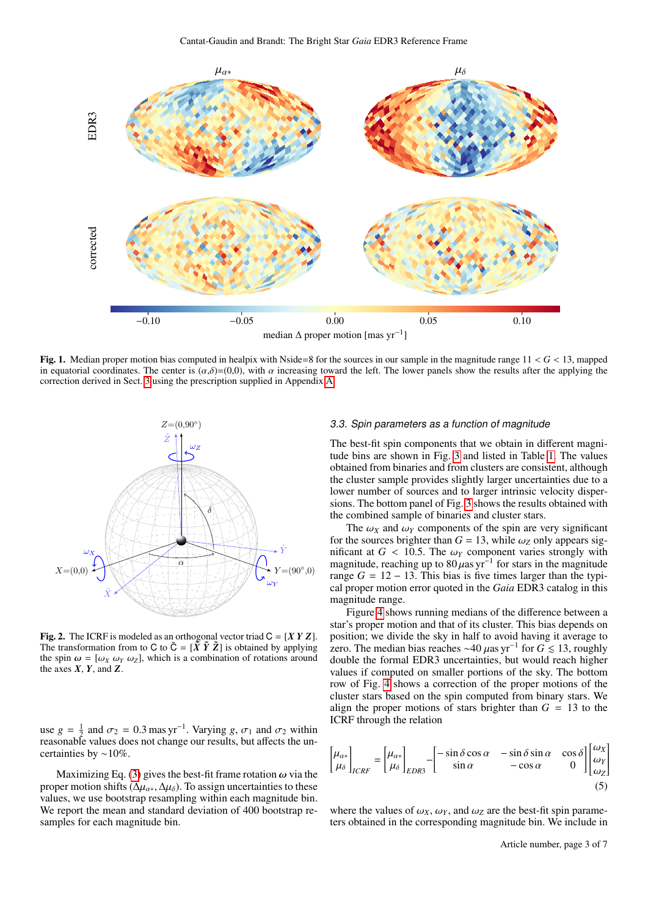

<span id="page-2-0"></span>Fig. 1. Median proper motion bias computed in healpix with Nside=8 for the sources in our sample in the magnitude range 11 < *G* < 13, mapped in equatorial coordinates. The center is  $(\alpha,\delta)=(0,0)$ , with  $\alpha$  increasing toward the left. The lower panels show the results after the applying the correction derived in Sect. [3](#page-1-0) using the prescription supplied in Appendix [A.](#page-6-0)



<span id="page-2-1"></span>**Fig. 2.** The ICRF is modeled as an orthogonal vector triad  $C = [XY Z]$ . The transformation from to C to  $\tilde{C} = [\tilde{X} \tilde{Y} \tilde{Z}]$  is obtained by applying the spin  $\omega = [\omega_X \omega_Y \omega_Z]$ , which is a combination of rotations around the axes  $X$ ,  $Y$ , and  $Z$ .

use  $g = \frac{1}{2}$  and  $\sigma_2 = 0.3$  mas yr<sup>-1</sup>. Varying *g*,  $\sigma_1$  and  $\sigma_2$  within reasonable values does not change our results, but affects the uncertainties by ∼10%.

Maximizing Eq. [\(3\)](#page-1-2) gives the best-fit frame rotation  $\omega$  via the proper motion shifts ( $\Delta \mu_{\alpha*}, \Delta \mu_{\delta}$ ). To assign uncertainties to these values, we use bootstrap resampling within each magnitude bin. We report the mean and standard deviation of 400 bootstrap resamples for each magnitude bin.

# 3.3. Spin parameters as a function of magnitude

The best-fit spin components that we obtain in different magnitude bins are shown in Fig. [3](#page-3-0) and listed in Table [1.](#page-3-1) The values obtained from binaries and from clusters are consistent, although the cluster sample provides slightly larger uncertainties due to a lower number of sources and to larger intrinsic velocity dispersions. The bottom panel of Fig. [3](#page-3-0) shows the results obtained with the combined sample of binaries and cluster stars.

The  $\omega_X$  and  $\omega_Y$  components of the spin are very significant for the sources brighter than  $G = 13$ , while  $\omega_Z$  only appears significant at  $G < 10.5$ . The  $\omega_Y$  component varies strongly with magnitude, reaching up to  $80 \mu$ as yr<sup>-1</sup> for stars in the magnitude range  $G = 12 - 13$ . This bias is five times larger than the typical proper motion error quoted in the *Gaia* EDR3 catalog in this magnitude range.

Figure [4](#page-4-1) shows running medians of the difference between a star's proper motion and that of its cluster. This bias depends on position; we divide the sky in half to avoid having it average to zero. The median bias reaches ~40  $\mu$ as yr<sup>-1</sup> for  $G \lesssim 13$ , roughly double the formal EDR3 uncertainties, but would reach higher values if computed on smaller portions of the sky. The bottom row of Fig. [4](#page-4-1) shows a correction of the proper motions of the cluster stars based on the spin computed from binary stars. We align the proper motions of stars brighter than  $G = 13$  to the ICRF through the relation

<span id="page-2-2"></span>
$$
\begin{bmatrix} \mu_{\alpha*} \\ \mu_{\delta} \end{bmatrix}_{ICRF} = \begin{bmatrix} \mu_{\alpha*} \\ \mu_{\delta} \end{bmatrix}_{EDR3} - \begin{bmatrix} -\sin\delta\cos\alpha & -\sin\delta\sin\alpha & \cos\delta \\ \sin\alpha & -\cos\alpha & 0 \end{bmatrix} \begin{bmatrix} \omega_X \\ \omega_Y \\ \omega_Z \end{bmatrix}
$$
(5)

where the values of  $\omega_X$ ,  $\omega_Y$ , and  $\omega_Z$  are the best-fit spin parameters obtained in the corresponding magnitude bin. We include in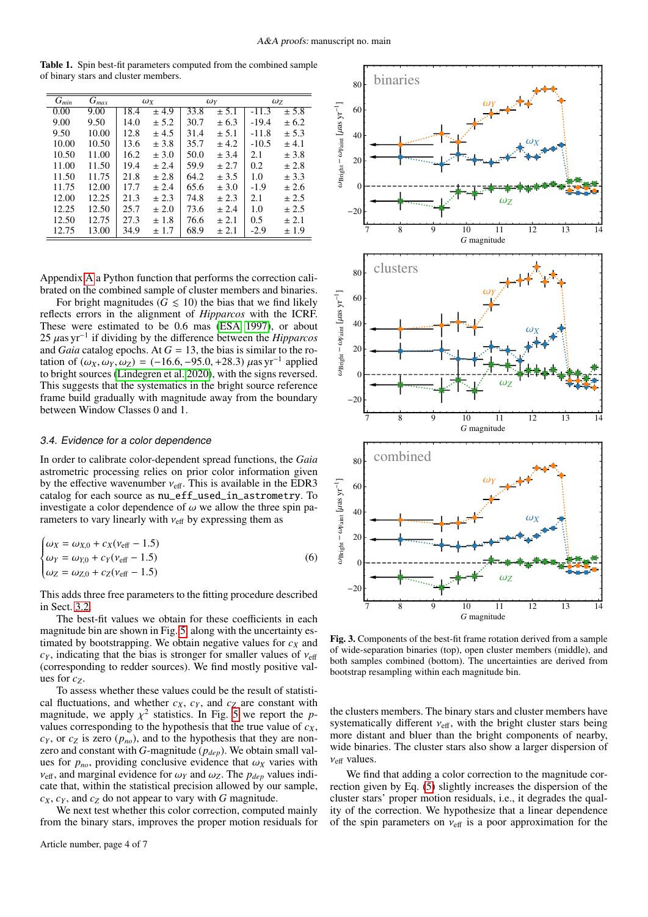<span id="page-3-1"></span>Table 1. Spin best-fit parameters computed from the combined sample of binary stars and cluster members.

| $\bar{G}_{min}$ | $\bar{G}_{max}$ | $\omega_X$ |       | $\omega_Y$ |       | $\omega_{Z}$ |       |
|-----------------|-----------------|------------|-------|------------|-------|--------------|-------|
| 0.00            | 9.00            | 18.4       | ± 4.9 | 33.8       | ± 5.1 | $-11.3$      | ± 5.8 |
| 9.00            | 9.50            | 14.0       | ± 5.2 | 30.7       | ± 6.3 | $-19.4$      | ± 6.2 |
| 9.50            | 10.00           | 12.8       | ± 4.5 | 31.4       | ± 5.1 | $-11.8$      | ± 5.3 |
| 10.00           | 10.50           | 13.6       | ± 3.8 | 35.7       | ± 4.2 | $-10.5$      | ± 4.1 |
| 10.50           | 11.00           | 16.2       | ± 3.0 | 50.0       | ± 3.4 | 2.1          | ± 3.8 |
| 11.00           | 11.50           | 19.4       | ± 2.4 | 59.9       | ± 2.7 | 0.2          | ± 2.8 |
| 11.50           | 11.75           | 21.8       | ± 2.8 | 64.2       | ± 3.5 | 1.0          | ± 3.3 |
| 11.75           | 12.00           | 17.7       | ± 2.4 | 65.6       | ± 3.0 | $-1.9$       | ± 2.6 |
| 12.00           | 12.25           | 21.3       | ± 2.3 | 74.8       | ± 2.3 | 2.1          | ± 2.5 |
| 12.25           | 12.50           | 25.7       | ± 2.0 | 73.6       | ± 2.4 | 1.0          | ± 2.5 |
| 12.50           | 12.75           | 27.3       | ±1.8  | 76.6       | ± 2.1 | 0.5          | ± 2.1 |
| 12.75           | 13.00           | 34.9       | ± 1.7 | 68.9       | ± 2.1 | $-2.9$       | ±1.9  |

Appendix [A](#page-6-0) a Python function that performs the correction calibrated on the combined sample of cluster members and binaries.

For bright magnitudes ( $G \leq 10$ ) the bias that we find likely reflects errors in the alignment of *Hipparcos* with the ICRF. These were estimated to be 0.6 mas [\(ESA 1997\)](#page-5-8), or about 25 µas yr−<sup>1</sup> if dividing by the difference between the *Hipparcos* and *Gaia* catalog epochs. At  $G = 13$ , the bias is similar to the rotation of  $(ω_X, ω_Y, ω_Z) = (-16.6, -95.0, +28.3) \mu as yr^{-1}$  applied to bright sources [\(Lindegren et al. 2020\)](#page-5-4), with the signs reversed. This suggests that the systematics in the bright source reference frame build gradually with magnitude away from the boundary between Window Classes 0 and 1.

#### 3.4. Evidence for a color dependence

In order to calibrate color-dependent spread functions, the *Gaia* astrometric processing relies on prior color information given by the effective wavenumber  $v_{\text{eff}}$ . This is available in the EDR3 catalog for each source as nu\_eff\_used\_in\_astrometry. To investigate a color dependence of  $\omega$  we allow the three spin parameters to vary linearly with  $v_{\text{eff}}$  by expressing them as

$$
\begin{cases}\n\omega_X = \omega_{X,0} + c_X(\nu_{\text{eff}} - 1.5) \\
\omega_Y = \omega_{Y,0} + c_Y(\nu_{\text{eff}} - 1.5) \\
\omega_Z = \omega_{Z,0} + c_Z(\nu_{\text{eff}} - 1.5)\n\end{cases}
$$
\n(6)

This adds three free parameters to the fitting procedure described in Sect. [3.2.](#page-1-3)

The best-fit values we obtain for these coefficients in each magnitude bin are shown in Fig. [5,](#page-4-2) along with the uncertainty estimated by bootstrapping. We obtain negative values for  $c<sub>X</sub>$  and  $c_Y$ , indicating that the bias is stronger for smaller values of  $v_{\text{eff}}$ (corresponding to redder sources). We find mostly positive values for  $c_7$ .

To assess whether these values could be the result of statistical fluctuations, and whether  $c_X$ ,  $c_Y$ , and  $c_Z$  are constant with magnitude, we apply  $\chi^2$  statistics. In Fig. [5](#page-4-2) we report the pvalues corresponding to the hypothesis that the true value of *cX*,  $c_Y$ , or  $c_Z$  is zero  $(p_{no})$ , and to the hypothesis that they are nonzero and constant with *G*-magnitude (*pdep*). We obtain small values for  $p_{no}$ , providing conclusive evidence that  $\omega_X$  varies with  $v_{\text{eff}}$ , and marginal evidence for  $\omega_Y$  and  $\omega_Z$ . The  $p_{dep}$  values indicate that, within the statistical precision allowed by our sample,  $c_X$ ,  $c_Y$ , and  $c_Z$  do not appear to vary with *G* magnitude.

We next test whether this color correction, computed mainly from the binary stars, improves the proper motion residuals for



<span id="page-3-2"></span><span id="page-3-0"></span>Fig. 3. Components of the best-fit frame rotation derived from a sample of wide-separation binaries (top), open cluster members (middle), and both samples combined (bottom). The uncertainties are derived from bootstrap resampling within each magnitude bin.

the clusters members. The binary stars and cluster members have systematically different  $v_{\text{eff}}$ , with the bright cluster stars being more distant and bluer than the bright components of nearby, wide binaries. The cluster stars also show a larger dispersion of  $v_{\text{eff}}$  values.

We find that adding a color correction to the magnitude correction given by Eq. [\(5\)](#page-2-2) slightly increases the dispersion of the cluster stars' proper motion residuals, i.e., it degrades the quality of the correction. We hypothesize that a linear dependence of the spin parameters on  $v_{\text{eff}}$  is a poor approximation for the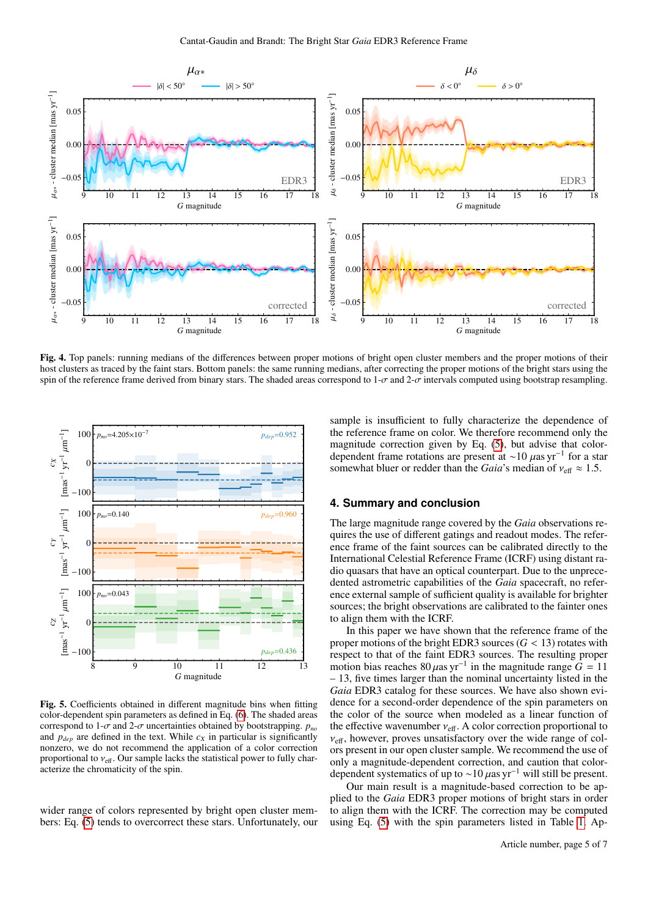

<span id="page-4-1"></span>Fig. 4. Top panels: running medians of the differences between proper motions of bright open cluster members and the proper motions of their host clusters as traced by the faint stars. Bottom panels: the same running medians, after correcting the proper motions of the bright stars using the spin of the reference frame derived from binary stars. The shaded areas correspond to  $1-\sigma$  and  $2-\sigma$  intervals computed using bootstrap resampling.



<span id="page-4-2"></span>Fig. 5. Coefficients obtained in different magnitude bins when fitting color-dependent spin parameters as defined in Eq. [\(6\)](#page-3-2). The shaded areas correspond to  $1-\sigma$  and  $2-\sigma$  uncertainties obtained by bootstrapping.  $p_{no}$ and  $p_{dep}$  are defined in the text. While  $c_X$  in particular is significantly nonzero, we do not recommend the application of a color correction proportional to  $v_{\text{eff}}$ . Our sample lacks the statistical power to fully characterize the chromaticity of the spin.

wider range of colors represented by bright open cluster members: Eq. [\(5\)](#page-2-2) tends to overcorrect these stars. Unfortunately, our

sample is insufficient to fully characterize the dependence of the reference frame on color. We therefore recommend only the magnitude correction given by Eq. [\(5\)](#page-2-2), but advise that colordependent frame rotations are present at ∼10 µas yr−<sup>1</sup> for a star somewhat bluer or redder than the *Gaia*'s median of  $v_{\text{eff}} \approx 1.5$ .

# <span id="page-4-0"></span>**4. Summary and conclusion**

The large magnitude range covered by the *Gaia* observations requires the use of different gatings and readout modes. The reference frame of the faint sources can be calibrated directly to the International Celestial Reference Frame (ICRF) using distant radio quasars that have an optical counterpart. Due to the unprecedented astrometric capabilities of the *Gaia* spacecraft, no reference external sample of sufficient quality is available for brighter sources; the bright observations are calibrated to the fainter ones to align them with the ICRF.

In this paper we have shown that the reference frame of the proper motions of the bright EDR3 sources  $(G < 13)$  rotates with respect to that of the faint EDR3 sources. The resulting proper motion bias reaches  $80 \mu$ as yr<sup>-1</sup> in the magnitude range  $\overline{G} = 11$ – 13, five times larger than the nominal uncertainty listed in the *Gaia* EDR3 catalog for these sources. We have also shown evidence for a second-order dependence of the spin parameters on the color of the source when modeled as a linear function of the effective wavenumber  $v_{\text{eff}}$ . A color correction proportional to  $v_{\text{eff}}$ , however, proves unsatisfactory over the wide range of colors present in our open cluster sample. We recommend the use of only a magnitude-dependent correction, and caution that colordependent systematics of up to ~10  $\mu$ as yr<sup>-1</sup> will still be present.

Our main result is a magnitude-based correction to be applied to the *Gaia* EDR3 proper motions of bright stars in order to align them with the ICRF. The correction may be computed using Eq. [\(5\)](#page-2-2) with the spin parameters listed in Table [1.](#page-3-1) Ap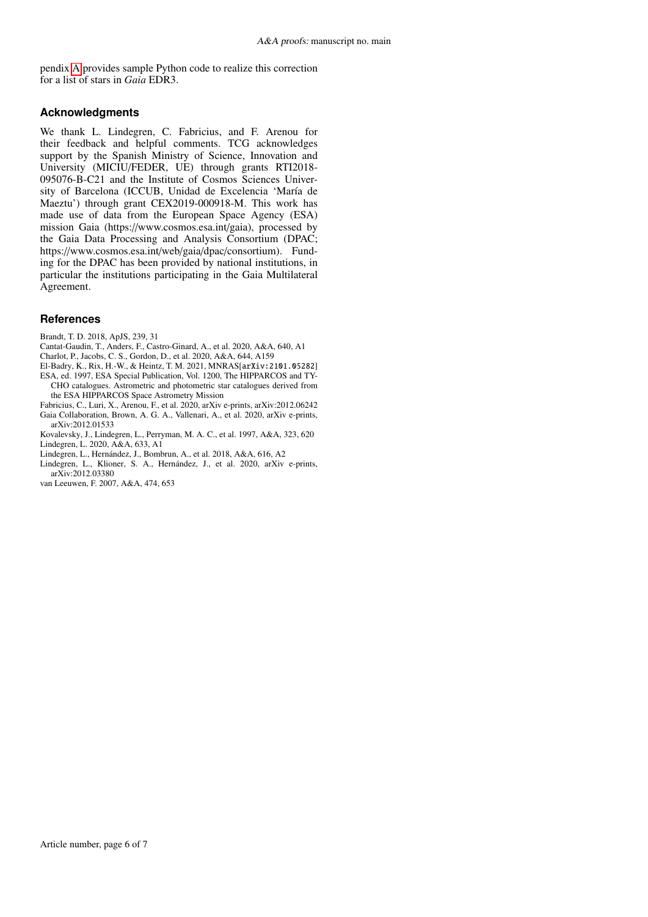pendix [A](#page-6-0) provides sample Python code to realize this correction for a list of stars in *Gaia* EDR3.

# **Acknowledgments**

We thank L. Lindegren, C. Fabricius, and F. Arenou for their feedback and helpful comments. TCG acknowledges support by the Spanish Ministry of Science, Innovation and University (MICIU/FEDER, UE) through grants RTI2018- 095076-B-C21 and the Institute of Cosmos Sciences University of Barcelona (ICCUB, Unidad de Excelencia 'María de Maeztu') through grant CEX2019-000918-M. This work has made use of data from the European Space Agency (ESA) mission Gaia (https://www.cosmos.esa.int/gaia), processed by the Gaia Data Processing and Analysis Consortium (DPAC; https://www.cosmos.esa.int/web/gaia/dpac/consortium). Funding for the DPAC has been provided by national institutions, in particular the institutions participating in the Gaia Multilateral Agreement.

# **References**

- <span id="page-5-2"></span>Brandt, T. D. 2018, ApJS, 239, 31
- <span id="page-5-7"></span>Cantat-Gaudin, T., Anders, F., Castro-Ginard, A., et al. 2020, A&A, 640, A1
- <span id="page-5-1"></span>Charlot, P., Jacobs, C. S., Gordon, D., et al. 2020, A&A, 644, A159
- <span id="page-5-8"></span><span id="page-5-6"></span>El-Badry, K., Rix, H.-W., & Heintz, T. M. 2021, MNRAS[arXiv:2101.05282] ESA, ed. 1997, ESA Special Publication, Vol. 1200, The HIPPARCOS and TY-
- CHO catalogues. Astrometric and photometric star catalogues derived from the ESA HIPPARCOS Space Astrometry Mission Fabricius, C., Luri, X., Arenou, F., et al. 2020, arXiv e-prints, arXiv:2012.06242
- <span id="page-5-11"></span><span id="page-5-0"></span>Gaia Collaboration, Brown, A. G. A., Vallenari, A., et al. 2020, arXiv e-prints, arXiv:2012.01533
- <span id="page-5-10"></span><span id="page-5-5"></span>Kovalevsky, J., Lindegren, L., Perryman, M. A. C., et al. 1997, A&A, 323, 620 Lindegren, L. 2020, A&A, 633, A1
- <span id="page-5-3"></span>Lindegren, L., Hernández, J., Bombrun, A., et al. 2018, A&A, 616, A2
- <span id="page-5-4"></span>Lindegren, L., Klioner, S. A., Hernández, J., et al. 2020, arXiv e-prints, arXiv:2012.03380
- <span id="page-5-9"></span>van Leeuwen, F. 2007, A&A, 474, 653